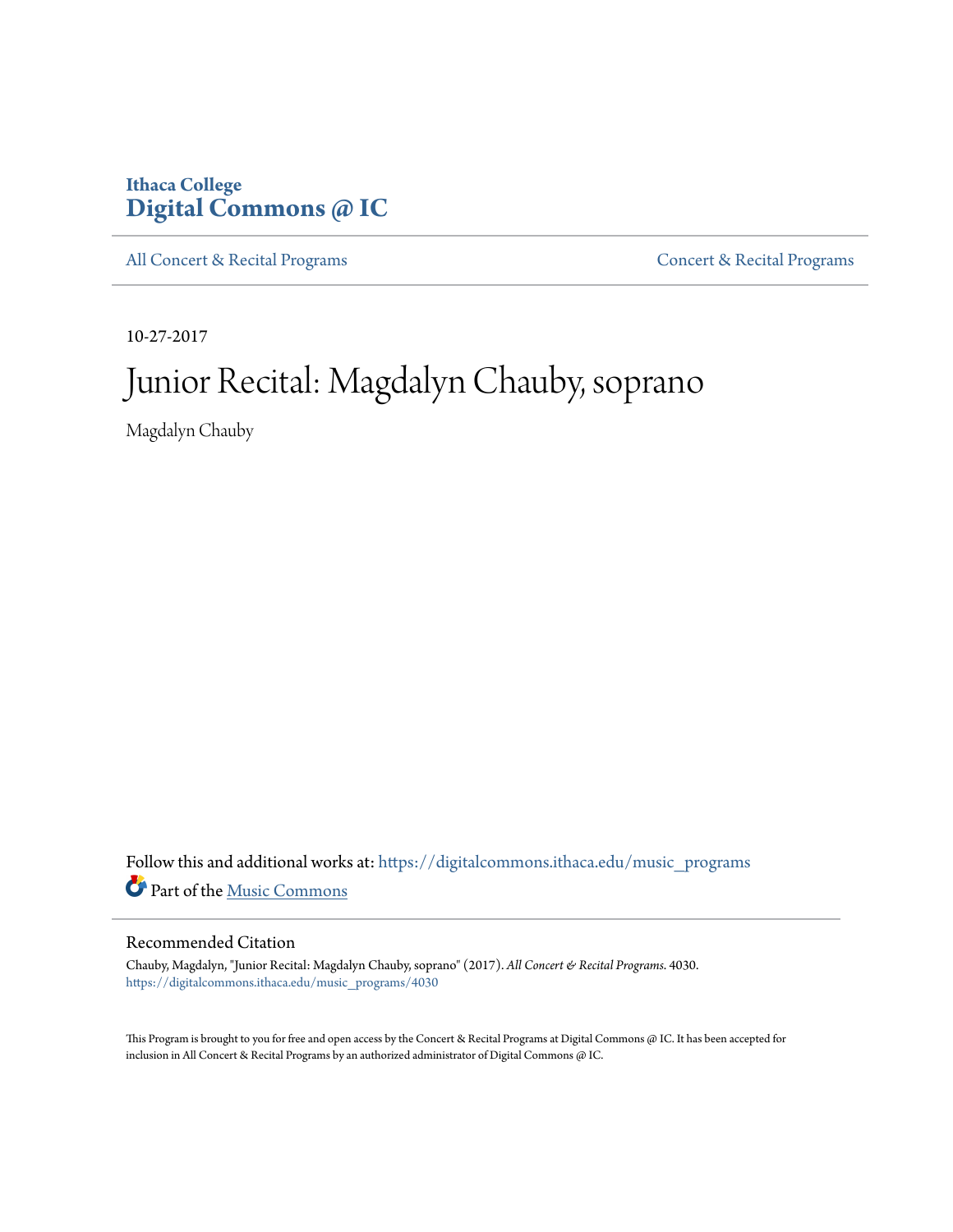# **Ithaca College [Digital Commons @ IC](https://digitalcommons.ithaca.edu?utm_source=digitalcommons.ithaca.edu%2Fmusic_programs%2F4030&utm_medium=PDF&utm_campaign=PDFCoverPages)**

[All Concert & Recital Programs](https://digitalcommons.ithaca.edu/music_programs?utm_source=digitalcommons.ithaca.edu%2Fmusic_programs%2F4030&utm_medium=PDF&utm_campaign=PDFCoverPages) **[Concert & Recital Programs](https://digitalcommons.ithaca.edu/som_programs?utm_source=digitalcommons.ithaca.edu%2Fmusic_programs%2F4030&utm_medium=PDF&utm_campaign=PDFCoverPages)** 

10-27-2017

# Junior Recital: Magdalyn Chauby, soprano

Magdalyn Chauby

Follow this and additional works at: [https://digitalcommons.ithaca.edu/music\\_programs](https://digitalcommons.ithaca.edu/music_programs?utm_source=digitalcommons.ithaca.edu%2Fmusic_programs%2F4030&utm_medium=PDF&utm_campaign=PDFCoverPages) Part of the [Music Commons](http://network.bepress.com/hgg/discipline/518?utm_source=digitalcommons.ithaca.edu%2Fmusic_programs%2F4030&utm_medium=PDF&utm_campaign=PDFCoverPages)

## Recommended Citation

Chauby, Magdalyn, "Junior Recital: Magdalyn Chauby, soprano" (2017). *All Concert & Recital Programs*. 4030. [https://digitalcommons.ithaca.edu/music\\_programs/4030](https://digitalcommons.ithaca.edu/music_programs/4030?utm_source=digitalcommons.ithaca.edu%2Fmusic_programs%2F4030&utm_medium=PDF&utm_campaign=PDFCoverPages)

This Program is brought to you for free and open access by the Concert & Recital Programs at Digital Commons @ IC. It has been accepted for inclusion in All Concert & Recital Programs by an authorized administrator of Digital Commons @ IC.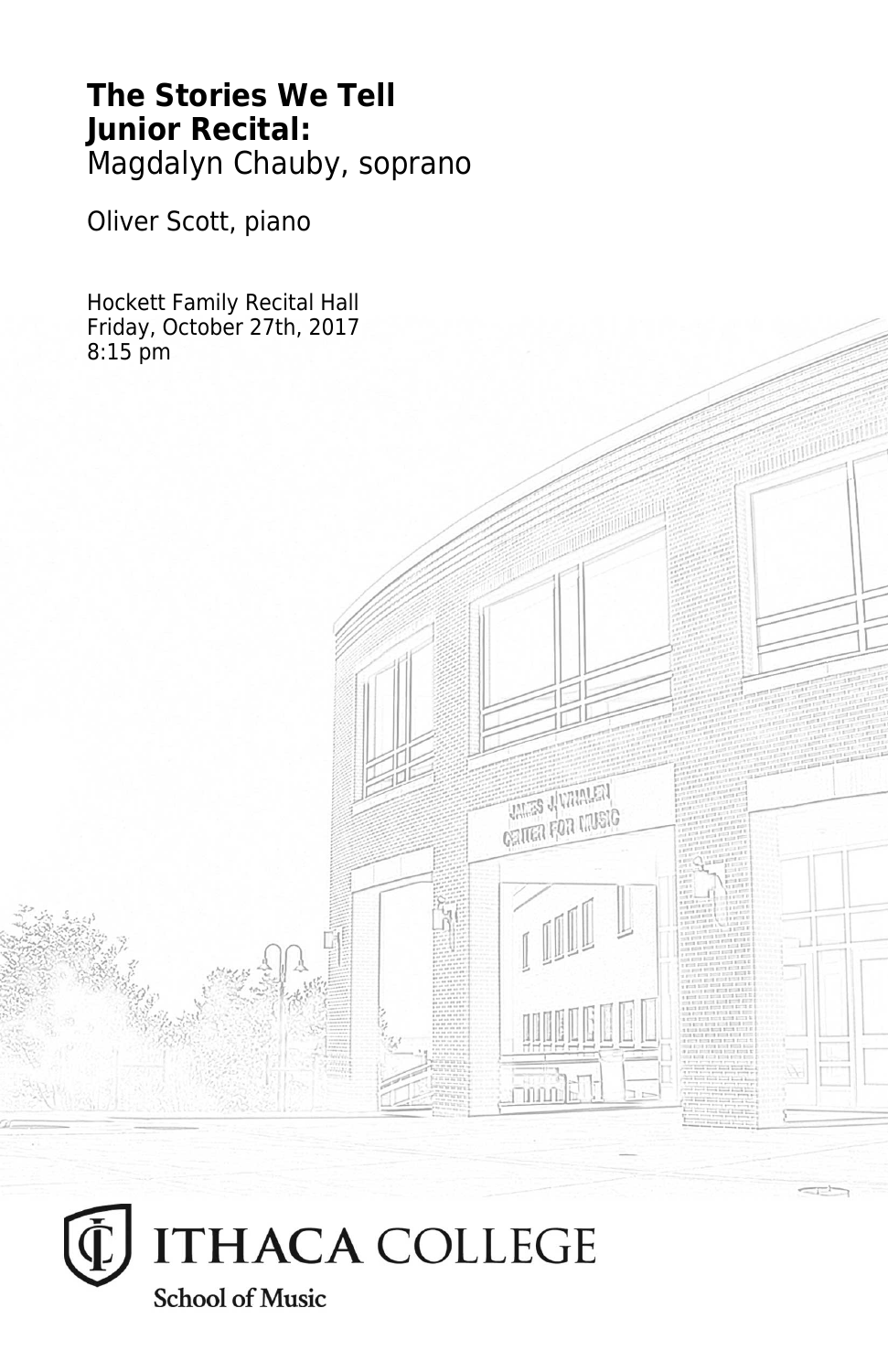# **The Stories We Tell Junior Recital:** Magdalyn Chauby, soprano

**THES JUVANIEN CRITER FOR LIVEIG** 

Oliver Scott, piano

Hockett Family Recital Hall Friday, October 27th, 2017 8:15 pm

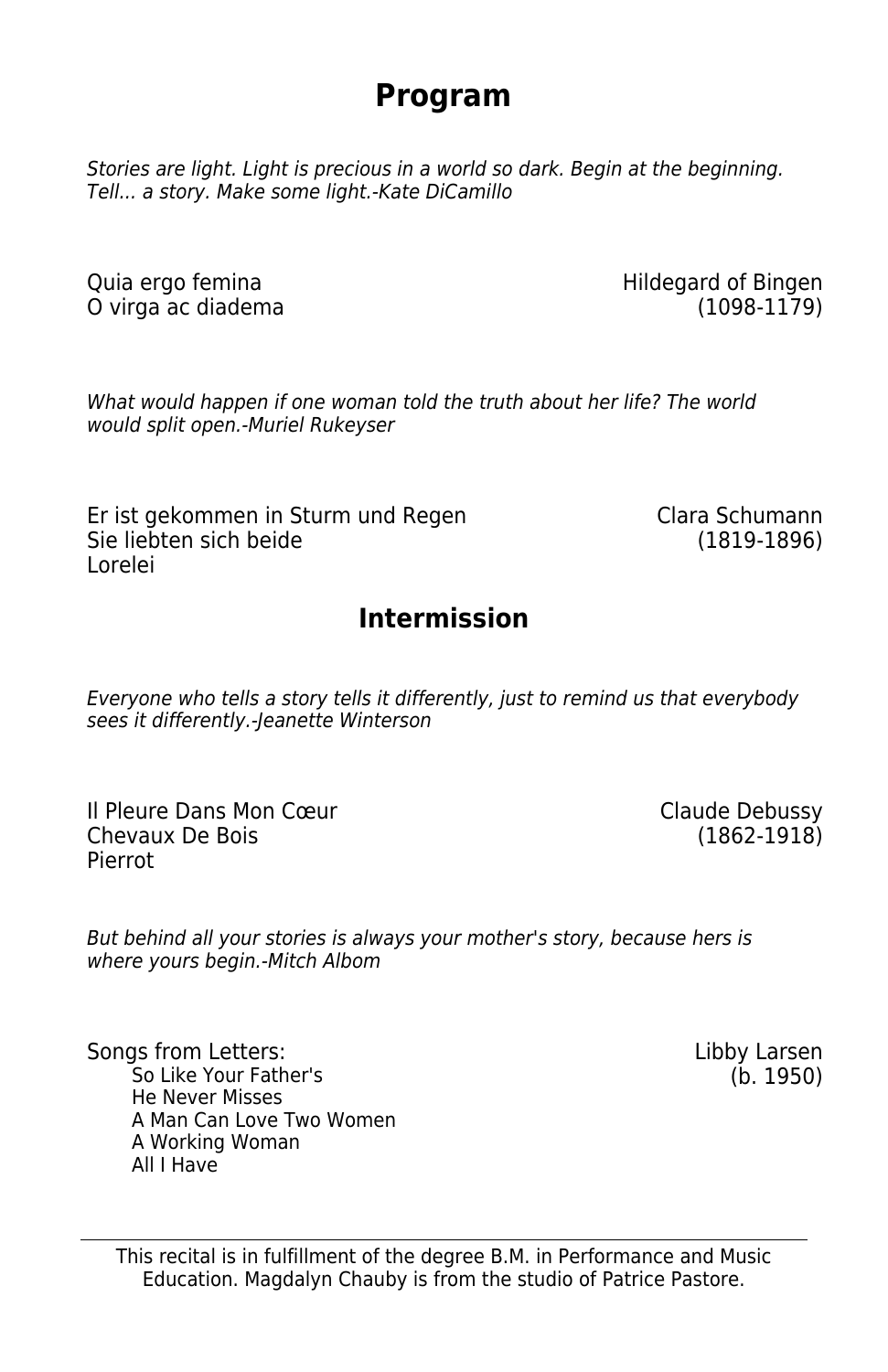# **Program**

Stories are light. Light is precious in a world so dark. Begin at the beginning. Tell... a story. Make some light.-Kate DiCamillo

O virga ac diadema

Quia ergo femina Hildegard of Bingen

What would happen if one woman told the truth about her life? The world would split open.-Muriel Rukeyser

Er ist gekommen in Sturm und Regen Clara Schumann Sie liebten sich beide (1819-1896) Lorelei

## **Intermission**

Everyone who tells a story tells it differently, just to remind us that everybody sees it differently.-Jeanette Winterson

Il Pleure Dans Mon Cœur de la communistie de la Claude Debussy<br>Chevaux De Bois (1862-1918) Chevaux De Bois Pierrot

But behind all your stories is always your mother's story, because hers is where yours begin.-Mitch Albom

Songs from Letters: Libby Larsen So Like Your Father's (b. 1950) He Never Misses A Man Can Love Two Women A Working Woman All I Have

This recital is in fulfillment of the degree B.M. in Performance and Music Education. Magdalyn Chauby is from the studio of Patrice Pastore.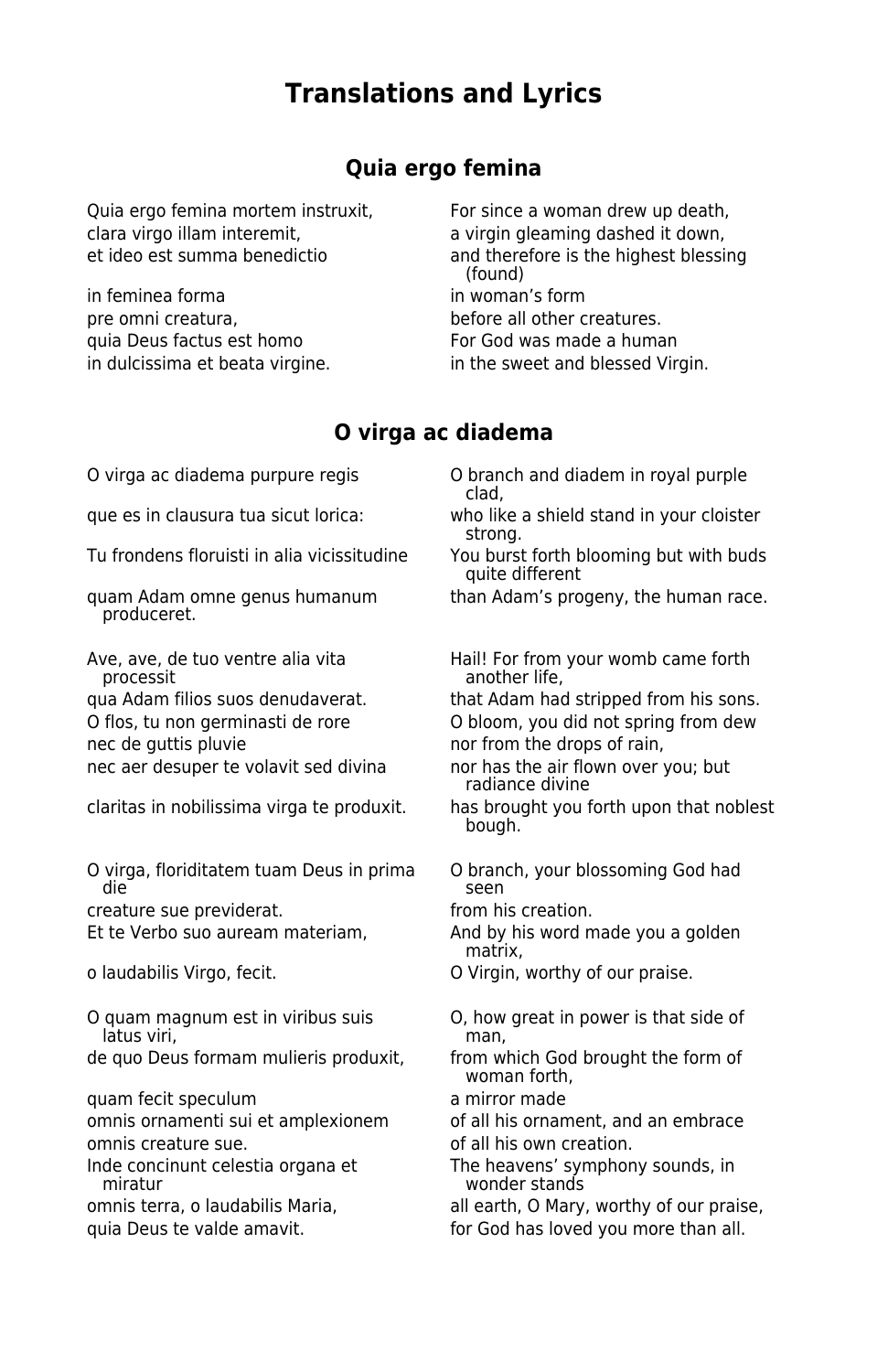## **Translations and Lyrics**

#### **Quia ergo femina**

Quia ergo femina mortem instruxit, For since a woman drew up death, clara virgo illam interemit, a virgin gleaming dashed it down,

in feminea forma in woman's form pre omni creatura. before all other creatures. quia Deus factus est homo For God was made a human in dulcissima et beata virgine. in the sweet and blessed Virgin.

et ideo est summa benedictio and therefore is the highest blessing (found)

## **O virga ac diadema**

O virga ac diadema purpure regis O branch and diadem in royal purple

Tu frondens floruisti in alia vicissitudine You burst forth blooming but with buds

produceret.

nec aer desuper te volavit sed divina nor has the air flown over you; but

O virga, floriditatem tuam Deus in prima O branch, your blossoming God had die seen wat die seen die seen die seen die seen die seen die seen die seen die seen die seen die se

creature sue previderat. The same stream of the set of the creation.

O quam magnum est in viribus suis  $\begin{array}{cc} \text{O} & \text{O} & \text{O} \\ \text{Iatus viri} & \text{O} & \text{O} \end{array}$ latus viri.

quam fecit speculum a mirror made

omnis ornamenti sui et amplexionem of all his ornament, and an embrace omnis creature sue. **Exercise 18 and 18 and 18 and 18 and 18 and 18 and 18 and 18 and 18 and 18 and 18 and 18 a** 

clad,

que es in clausura tua sicut lorica: who like a shield stand in your cloister strong.

quite different

quam Adam omne genus humanum than Adam's progeny, the human race.

Ave, ave, de tuo ventre alia vita<br>
processit in the another life, but womb came forth another life,

qua Adam filios suos denudaverat. that Adam had stripped from his sons. O flos, tu non germinasti de rore O bloom, you did not spring from dew

nec de guttis pluvie nor from the drops of rain,

radiance divine

claritas in nobilissima virga te produxit. has brought you forth upon that noblest bough.

Et te Verbo suo auream materiam, and by his word made you a golden matrix,

o laudabilis Virgo, fecit. O Virgin, worthy of our praise.

de quo Deus formam mulieris produxit, from which God brought the form of woman forth,

Inde concinunt celestia organa et The heavens' symphony sounds, in<br>wonder stands wonder stands

omnis terra, o laudabilis Maria, all earth, O Mary, worthy of our praise,

quia Deus te valde amavit. **For God has loved you more than all.**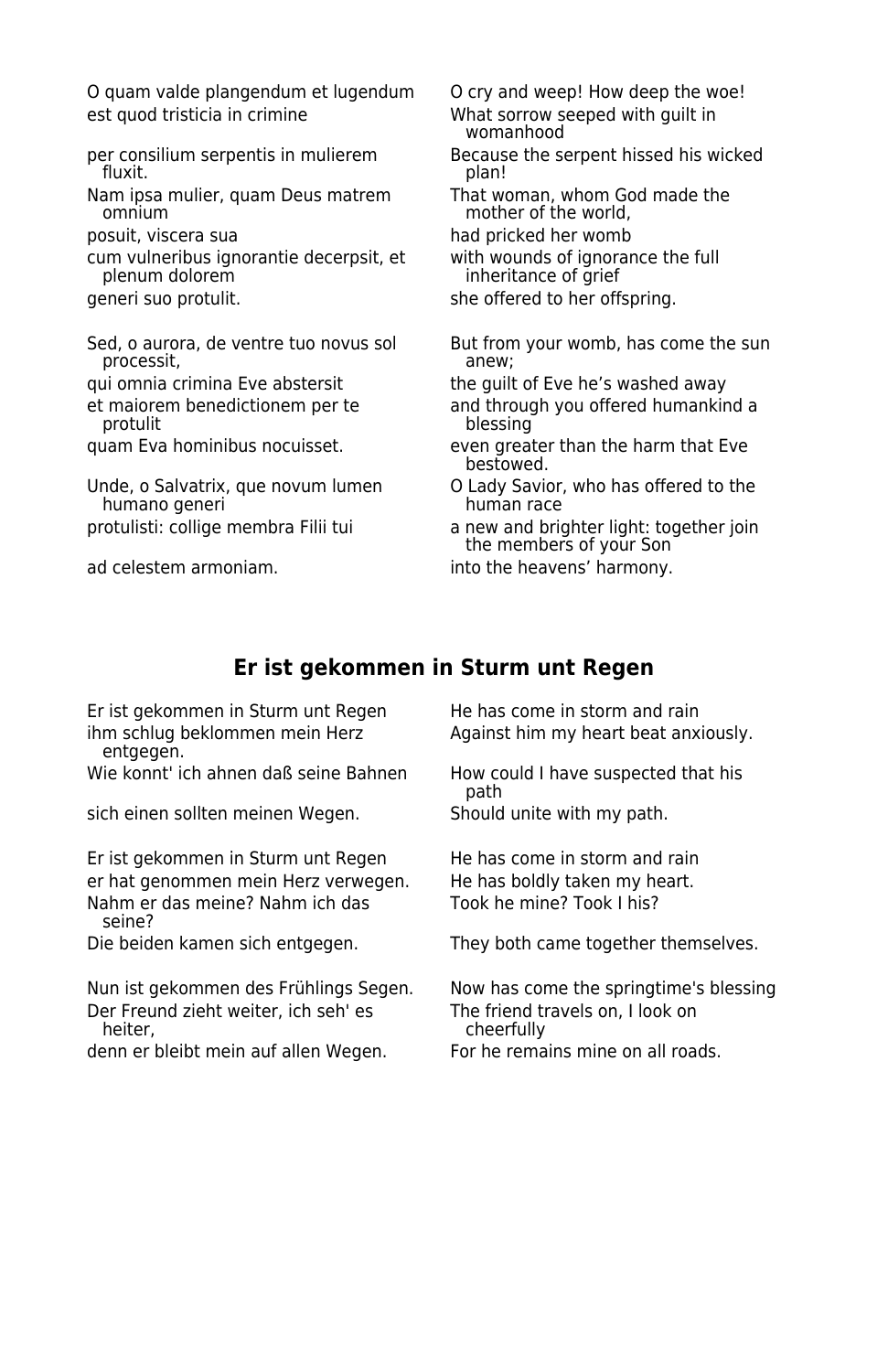O quam valde plangendum et lugendum O cry and weep! How deep the woe! est quod tristicia in crimine What sorrow seeped with guilt in

- fluxit. plan!
- Nam ipsa mulier, quam Deus matrem That woman, whom God made the<br>omnium mother of the world,
- 
- cum vulneribus ignorantie decerpsit, et with wounds of ignorance the full
- 
- processit,
- 
- 
- 
- humano generi
- 
- womanhood
- per consilium serpentis in mulierem Because the serpent hissed his wicked<br>fluxit. plan! plan!
	- mother of the world,
- posuit, viscera sua had pricked her womb
	- inheritance of grief
- generi suo protulit. she offered to her offspring.
- Sed, o aurora, de ventre tuo novus sol But from your womb, has come the sun processit,
- qui omnia crimina Eve abstersit the guilt of Eve he's washed away
- et maiorem benedictionem per te and through you offered humankind a<br>plessing blessing
- quam Eva hominibus nocuisset. even greater than the harm that Eve bestowed.
- Unde, o Salvatrix, que novum lumen  $\begin{array}{c} \text{O}$  Lady Savior, who has offered to the humano generi
- protulisti: collige membra Filii tui a new and brighter light: together join the members of your Son

ad celestem armoniam. The same into the heavens' harmony.

### **Er ist gekommen in Sturm unt Regen**

Er ist gekommen in Sturm unt Regen He has come in storm and rain entgegen.

Wie konnt' ich ahnen daß seine Bahnen How could I have suspected that his

sich einen sollten meinen Wegen. Should unite with my path.

Er ist gekommen in Sturm unt Regen He has come in storm and rain er hat genommen mein Herz verwegen. He has boldly taken my heart. Nahm er das meine? Nahm ich das Took he mine? Took I his? seine?

Der Freund zieht weiter, ich seh' es<br>The freend travels on the frack on the frack on the frack on the frack on the frack on the frack on the frack o

denn er bleibt mein auf allen Wegen. For he remains mine on all roads.

ihm schlug beklommen mein Herz Against him my heart beat anxiously.

path

Die beiden kamen sich entgegen. They both came together themselves.

Nun ist gekommen des Frühlings Segen. Now has come the springtime's blessing Der Freund zieht weiter, ich seh' es cheerfully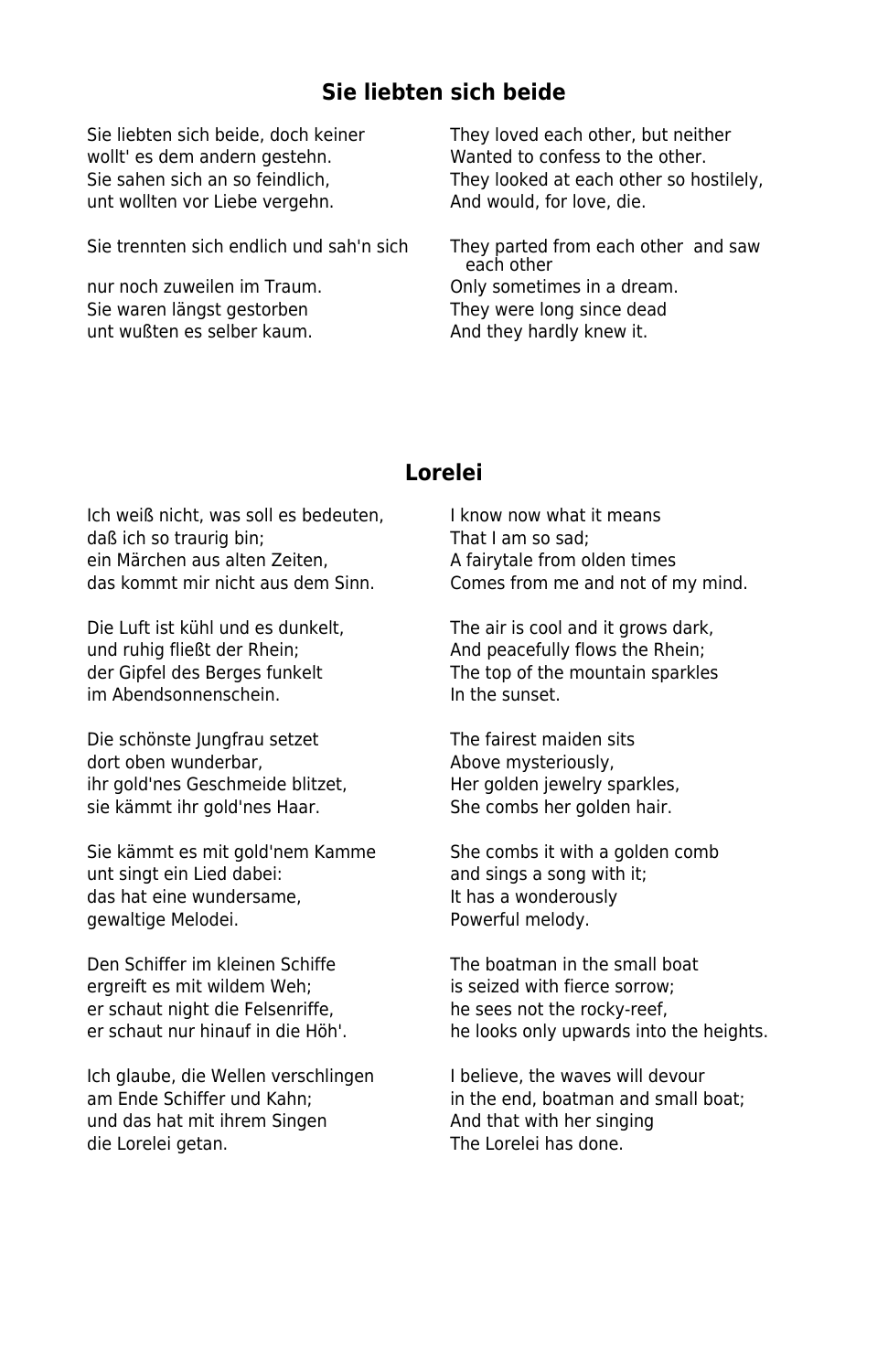## **Sie liebten sich beide**

wollt' es dem andern gestehn. Wanted to confess to the other. unt wollten vor Liebe vergehn. And would, for love, die.

Sie trennten sich endlich und sah'n sich They parted from each other and saw

Sie waren längst gestorben They were long since dead unt wußten es selber kaum. And they hardly knew it.

Sie liebten sich beide, doch keiner They loved each other, but neither Sie sahen sich an so feindlich, They looked at each other so hostilely,

 each other nur noch zuweilen im Traum. Only sometimes in a dream.

#### **Lorelei**

Ich weiß nicht, was soll es bedeuten, I know now what it means daß ich so traurig bin; That I am so sad; ein Märchen aus alten Zeiten, and alte A fairytale from olden times das kommt mir nicht aus dem Sinn. Comes from me and not of my mind.

und ruhig fließt der Rhein; And peacefully flows the Rhein; im Abendsonnenschein. The sunset.

Die schönste Jungfrau setzet The fairest maiden sits dort oben wunderbar, and a bove mysteriously, ihr gold'nes Geschmeide blitzet, Her golden jewelry sparkles, sie kämmt ihr gold'nes Haar. She combs her golden hair.

Sie kämmt es mit gold'nem Kamme She combs it with a golden comb unt singt ein Lied dabei: and sings a song with it; das hat eine wundersame, The Mas a wonderously gewaltige Melodei. The Merrician of Powerful melody.

Den Schiffer im kleinen Schiffe The boatman in the small boat ergreift es mit wildem Weh; is seized with fierce sorrow; er schaut night die Felsenriffe, he sees not the rocky-reef,<br>
er schaut nur hinauf in die Höh!<br>
he looks only unwards into

Ich glaube, die Wellen verschlingen Ibelieve, the waves will devour und das hat mit ihrem Singen And that with her singing die Lorelei getan. The Lorelei has done.

Die Luft ist kühl und es dunkelt, The air is cool and it grows dark, der Gipfel des Berges funkelt The top of the mountain sparkles

he looks only upwards into the heights.

am Ende Schiffer und Kahn; in the end, boatman and small boat;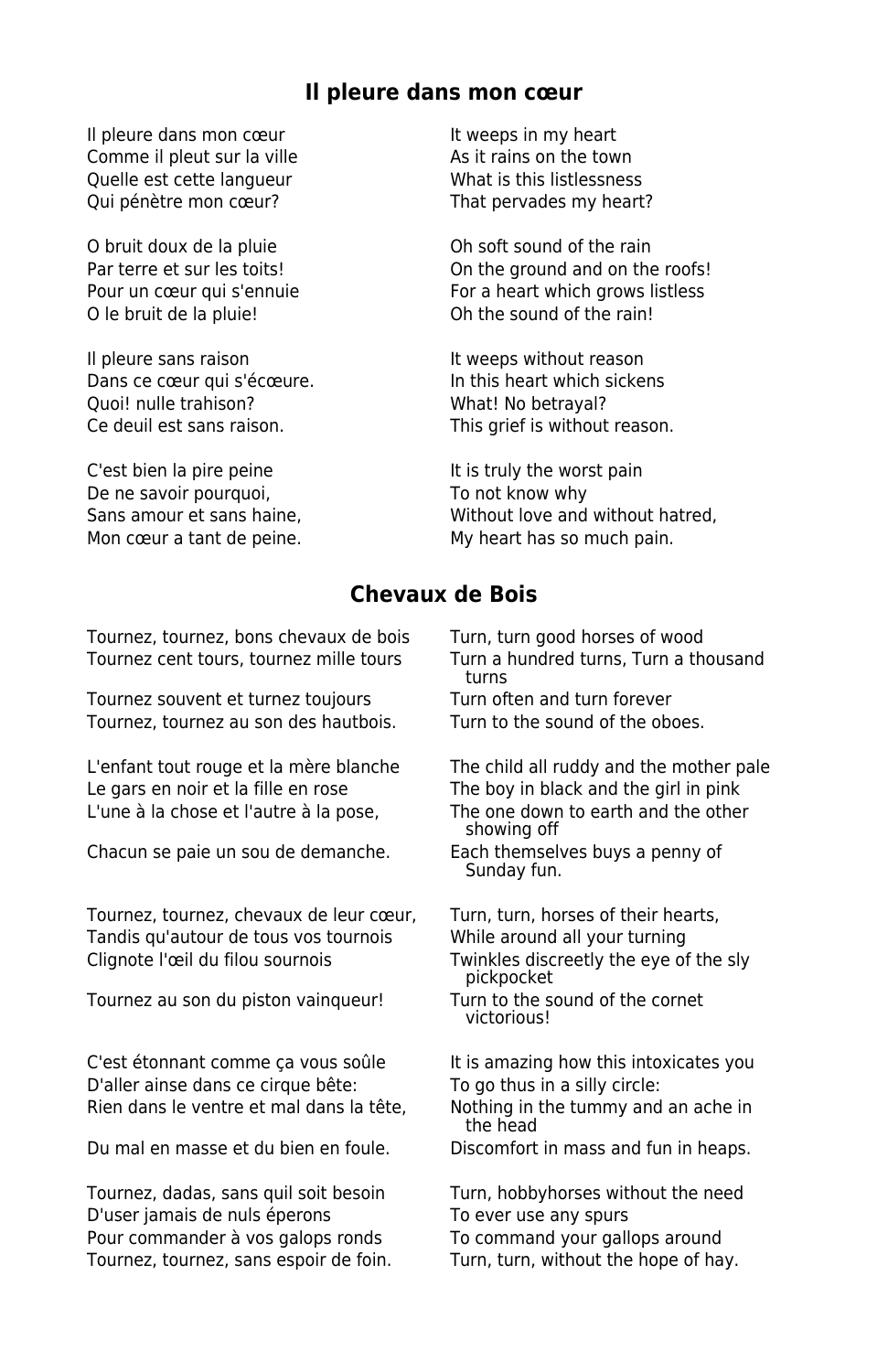#### **Il pleure dans mon cœur**

Il pleure dans mon cœur It weeps in my heart Comme il pleut sur la ville As it rains on the town Quelle est cette langueur What is this listlessness Qui pénètre mon cœur? That pervades my heart?

O bruit doux de la pluie **Oh soft sound of the rain** O le bruit de la pluie! Oh the sound of the rain!

Il pleure sans raison It weeps without reason Dans ce cœur qui s'écœure. In this heart which sickens Quoi! nulle trahison? What! No betrayal? Ce deuil est sans raison. This grief is without reason.

C'est bien la pire peine It is truly the worst pain De ne savoir pourquoi, To not know why

Par terre et sur les toits! On the ground and on the roofs! Pour un cœur qui s'ennuie For a heart which grows listless

Sans amour et sans haine, Without love and without hatred, Mon cœur a tant de peine. My heart has so much pain.

#### **Chevaux de Bois**

Tournez, tournez, bons chevaux de bois Turn, turn good horses of wood Tournez cent tours, tournez mille tours Turn a hundred turns, Turn a thousand

Tournez souvent et turnez toujours Turn often and turn forever<br>Tournez, tournez au son des hautbois. Turn to the sound of the oboes. Tournez, tournez au son des hautbois.

L'enfant tout rouge et la mère blanche The child all ruddy and the mother pale Le gars en noir et la fille en rose The boy in black and the girl in pink L'une à la chose et l'autre à la pose, The one down to earth and the other

Chacun se paie un sou de demanche. Each themselves buys a penny of

Tournez, tournez, chevaux de leur cœur, Turn, turn, horses of their hearts, Tandis qu'autour de tous vos tournois While around all your turning Clignote l'œil du filou sournois Twinkles discreetly the eye of the sly

Tournez au son du piston vainqueur! Turn to the sound of the cornet

C'est étonnant comme ça vous soûle It is amazing how this intoxicates you D'aller ainse dans ce cirque bête:<br>
To go thus in a silly circle: Rien dans le ventre et mal dans la tête, Nothing in the tummy and an ache in

Du mal en masse et du bien en foule. Discomfort in mass and fun in heaps.

Tournez, dadas, sans quil soit besoin Turn, hobbyhorses without the need D'user jamais de nuls éperons To ever use any spurs Pour commander à vos galops ronds To command your gallops around<br>Tournez, tournez, sans espoir de foin. Turn, turn, without the hope of hay. Tournez, tournez, sans espoir de foin.

turns

showing off

Sunday fun.

pickpocket

victorious!

the head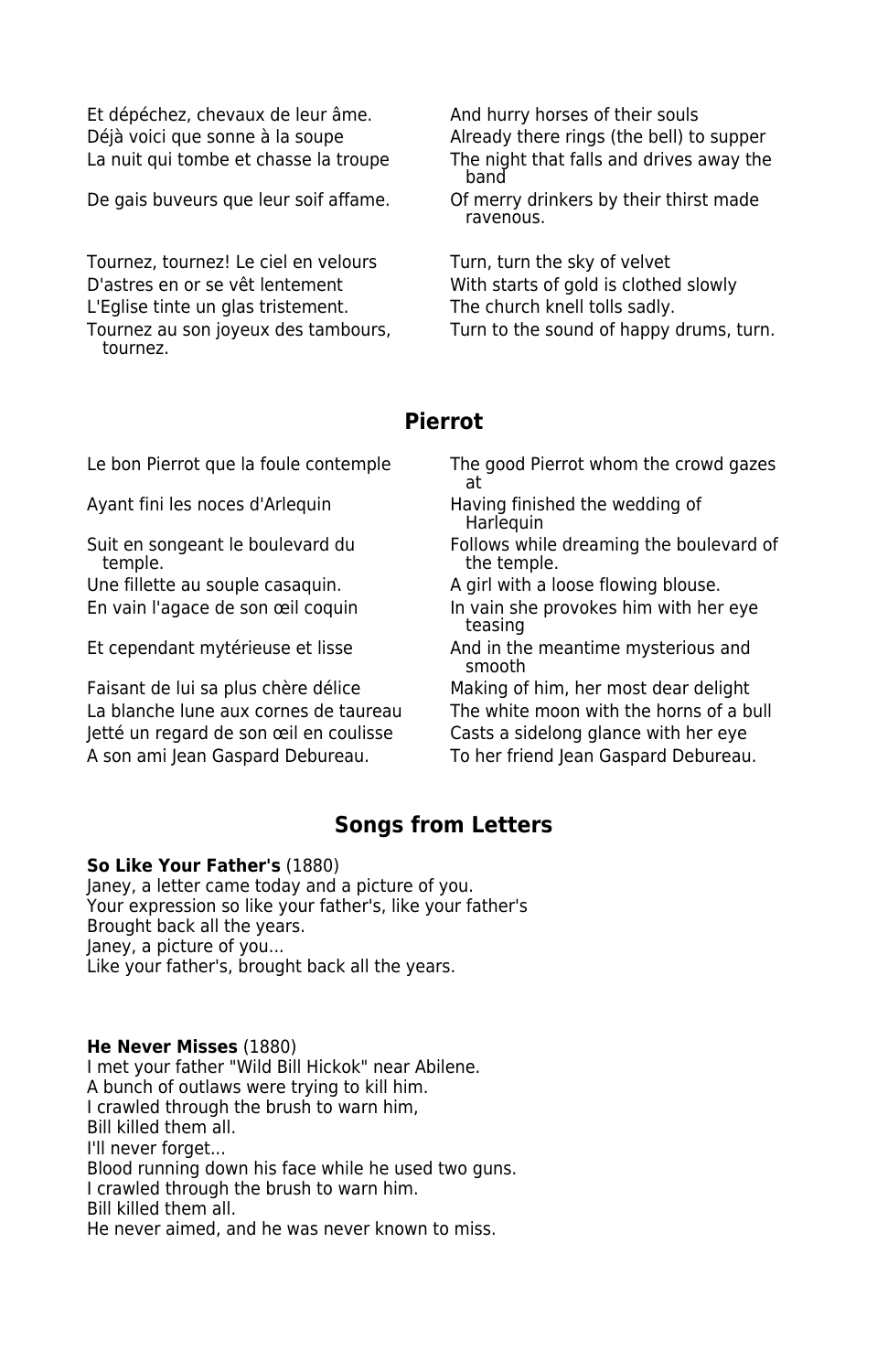Et dépéchez, chevaux de leur âme. And hurry horses of their souls Déjà voici que sonne à la soupe Already there rings (the bell) to supper

Tournez, tournez! Le ciel en velours Turn, turn the sky of velvet D'astres en or se vêt lentement With starts of gold is clothed slowly L'Eglise tinte un glas tristement. The church knell tolls sadly. tournez.

La nuit qui tombe et chasse la troupe The night that falls and drives away the band

De gais buveurs que leur soif affame. Of merry drinkers by their thirst made ravenous.

Tournez au son joyeux des tambours, Turn to the sound of happy drums, turn.

#### **Pierrot**

Ayant fini les noces d'Arlequin Having finished the wedding of

Faisant de lui sa plus chère délice Making of him, her most dear delight Jetté un regard de son œil en coulisse Casts a sidelong glance with her eye A son ami Jean Gaspard Debureau. To her friend Jean Gaspard Debureau.

Le bon Pierrot que la foule contemple The good Pierrot whom the crowd gazes at

Harlequin

Suit en songeant le boulevard du Follows while dreaming the boulevard of temple. the temple.

Une fillette au souple casaquin. A girl with a loose flowing blouse.

En vain l'agace de son œil coquin In vain she provokes him with her eye teasing

Et cependant mytérieuse et lisse And in the meantime mysterious and smooth

La blanche lune aux cornes de taureau The white moon with the horns of a bull

#### **Songs from Letters**

#### **So Like Your Father's** (1880)

Janey, a letter came today and a picture of you. Your expression so like your father's, like your father's Brought back all the years. Janey, a picture of you... Like your father's, brought back all the years.

#### **He Never Misses** (1880)

I met your father "Wild Bill Hickok" near Abilene. A bunch of outlaws were trying to kill him. I crawled through the brush to warn him, Bill killed them all. I'll never forget... Blood running down his face while he used two guns. I crawled through the brush to warn him. Bill killed them all. He never aimed, and he was never known to miss.